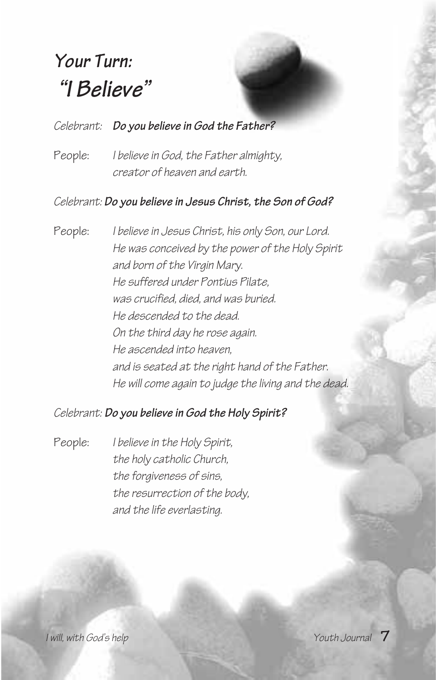# *Your Turn: "I Believe"*

#### *Celebrant: Do you believe in God the Father?*

People: *I believe in God, the Father almighty, creator of heaven and earth.*

#### *Celebrant: Do you believe in Jesus Christ, the Son of God?*

People: *I believe in Jesus Christ, his only Son, our Lord. He was conceived by the power of the Holy Spirit and born of the Virgin Mary. He suffered under Pontius Pilate, was crucified, died, and was buried. He descended to the dead. On the third day he rose again. He ascended into heaven, and is seated at the right hand of the Father. He will come again to judge the living and the dead.*

#### *Celebrant: Do you believe in God the Holy Spirit?*

People: *I believe in the Holy Spirit, the holy catholic Church, the forgiveness of sins, the resurrection of the body, and the life everlasting.*

*I* will, with God's help *Youth Journal*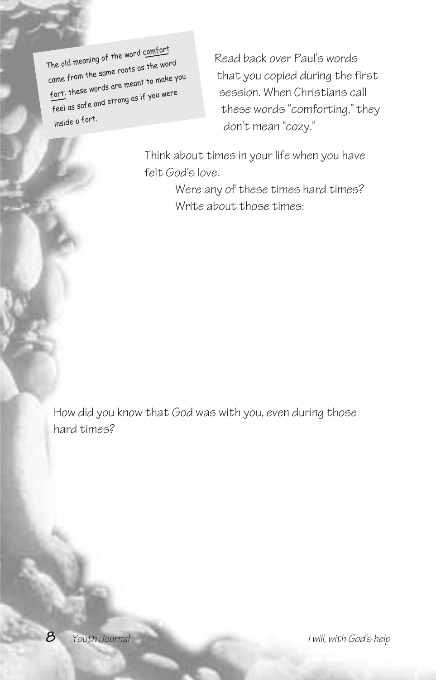The old meaning of the word comfort came from the same roots as the word fort: these words are meant to make you feel as safe and strong as if you were inside a fort.

Read back over Paul's words that you copied during the first session. When Christians call these words "comforting," they don't mean "cozy."

Think about times in your life when you have felt God's love.

> Were any of these times hard times? Write about those times:

How did you know that God was with you, even during those hard times?

**8** *Youth Journal I will, with God's help*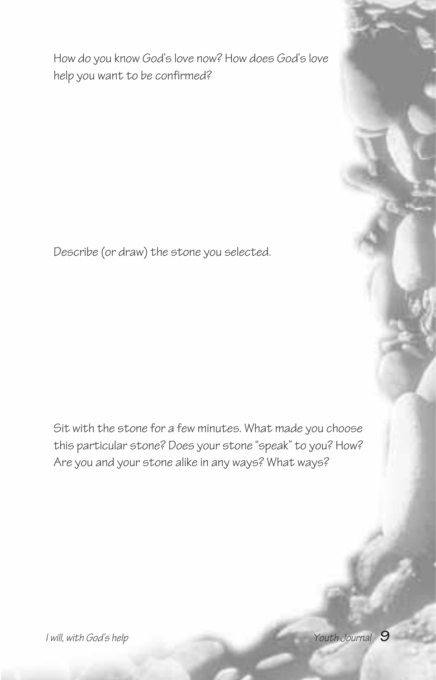How do you know God's love now? How does God's love help you want to be confirmed?

Describe (or draw) the stone you selected.

Sit with the stone for a few minutes. What made you choose this particular stone? Does your stone "speak" to you? How? Are you and your stone alike in any ways? What ways?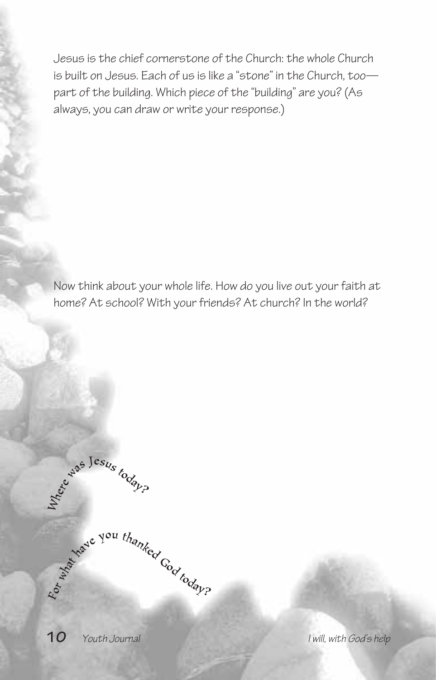Jesus is the chief cornerstone of the Church: the whole Church is built on Jesus. Each of us is like a "stone" in the Church, too part of the building. Which piece of the "building" are you? (As always, you can draw or write your response.)

Now think about your whole life. How do you live out your faith at home? At school? With your friends? At church? In the world?

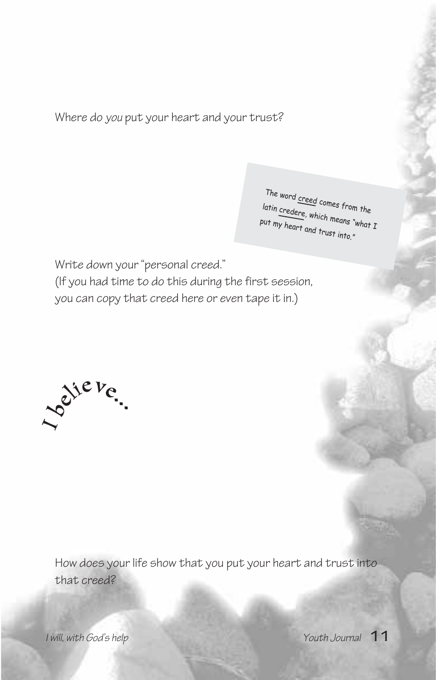Where do *you* put your heart and your trust?

The word creed comes from the latin credere, which means "what I put my heart and trust into."

Write down your "personal creed." (If you had time to do this during the first session, you can copy that creed here or even tape it in.)



How does your life show that you put your heart and trust into that creed?

*I will, with God's help Youth Journal* **11**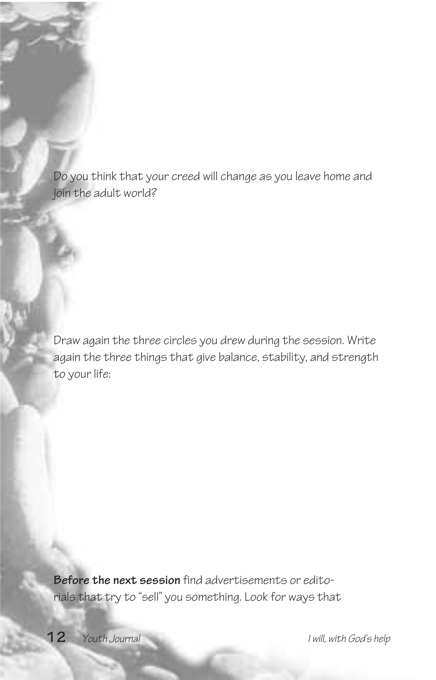Do you think that your creed will change as you leave home and join the adult world?

Draw again the three circles you drew during the session. Write again the three things that give balance, stability, and strength to your life:

**Before the next session** find advertisements or editorials that try to "sell" you something. Look for ways that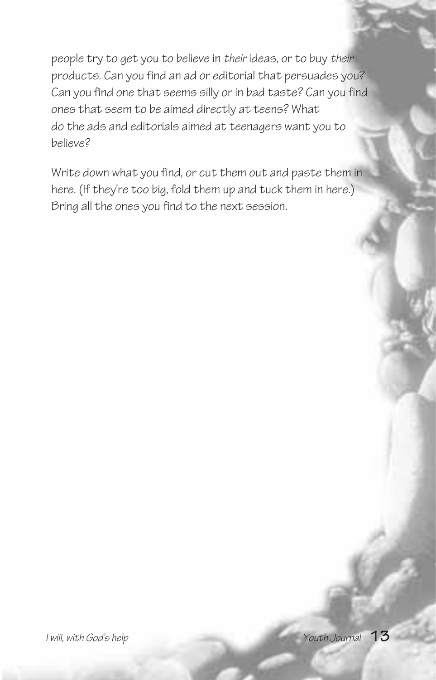people try to get you to believe in *their* ideas, or to buy *their* products. Can you find an ad or editorial that persuades you? Can you find one that seems silly or in bad taste? Can you find ones that seem to be aimed directly at teens? What do the ads and editorials aimed at teenagers want you to believe?

Write down what you find, or cut them out and paste them in here. (If they're too big, fold them up and tuck them in here.) Bring all the ones you find to the next session.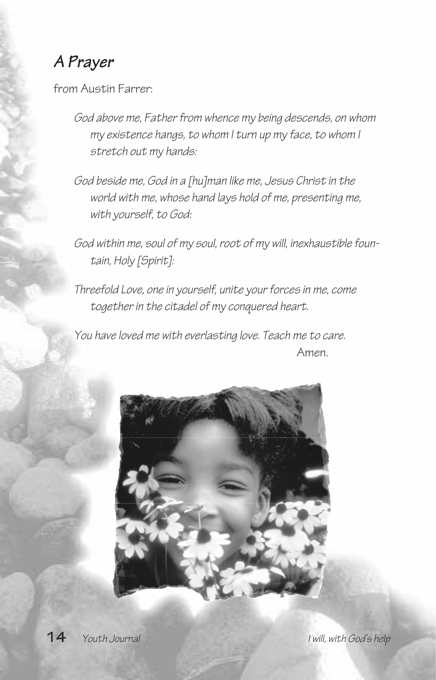## *A Prayer*

from Austin Farrer:

- *God above me, Father from whence my being descends, on whom my existence hangs, to whom I turn up my face, to whom I stretch out my hands:*
- *God beside me, God in a [hu]man like me, Jesus Christ in the world with me, whose hand lays hold of me, presenting me, with yourself, to God:*
- *God within me, soul of my soul, root of my will, inexhaustible fountain, Holy [Spirit]:*
- *Threefold Love, one in yourself, unite your forces in me, come together in the citadel of my conquered heart.*

*You have loved me with everlasting love. Teach me to care.* **Amen.** Amen.